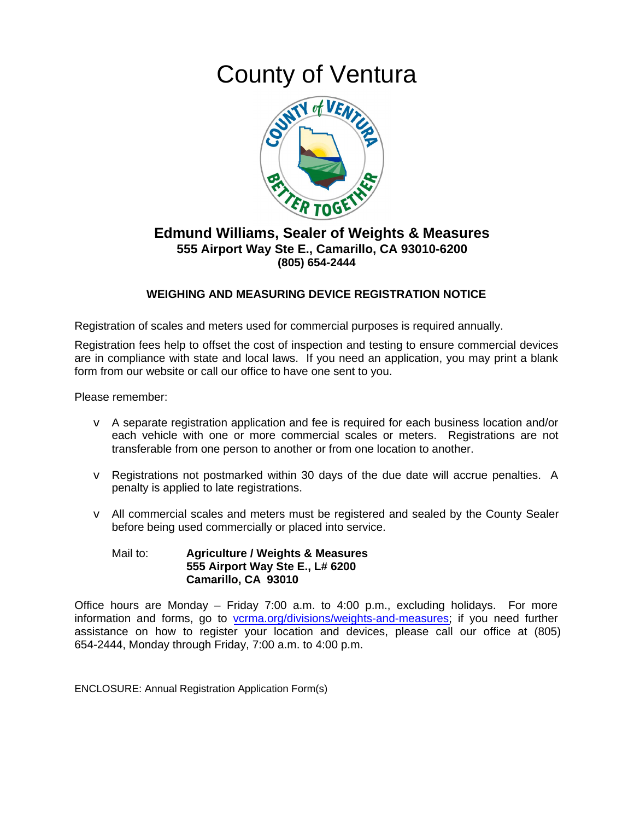## **County of Ventura**



## **Edmund Williams, Sealer of Weights & Measures** 555 Airport Way Ste E., Camarillo, CA 93010-6200 (805) 654-2444

## **WEIGHING AND MEASURING DEVICE REGISTRATION NOTICE**

Registration of scales and meters used for commercial purposes is required annually.

Registration fees help to offset the cost of inspection and testing to ensure commercial devices are in compliance with state and local laws. If you need an application, you may print a blank form from our website or call our office to have one sent to you.

Please remember:

- $\vee$  A separate registration application and fee is required for each business location and/or each vehicle with one or more commercial scales or meters. Registrations are not transferable from one person to another or from one location to another.
- $\vee$  Registrations not postmarked within 30 days of the due date will accrue penalties. A penalty is applied to late registrations.
- $\vee$  All commercial scales and meters must be registered and sealed by the County Sealer before being used commercially or placed into service.

## Mail to: **Agriculture / Weights & Measures** 555 Airport Way Ste E., L# 6200 Camarillo, CA 93010

Office hours are Monday – Friday 7:00 a.m. to 4:00 p.m., excluding holidays. For more information and forms, go to vcrma.org/divisions/weights-and-measures; if you need further assistance on how to register your location and devices, please call our office at (805) 654-2444, Monday through Friday, 7:00 a.m. to 4:00 p.m.

**ENCLOSURE: Annual Registration Application Form(s)**